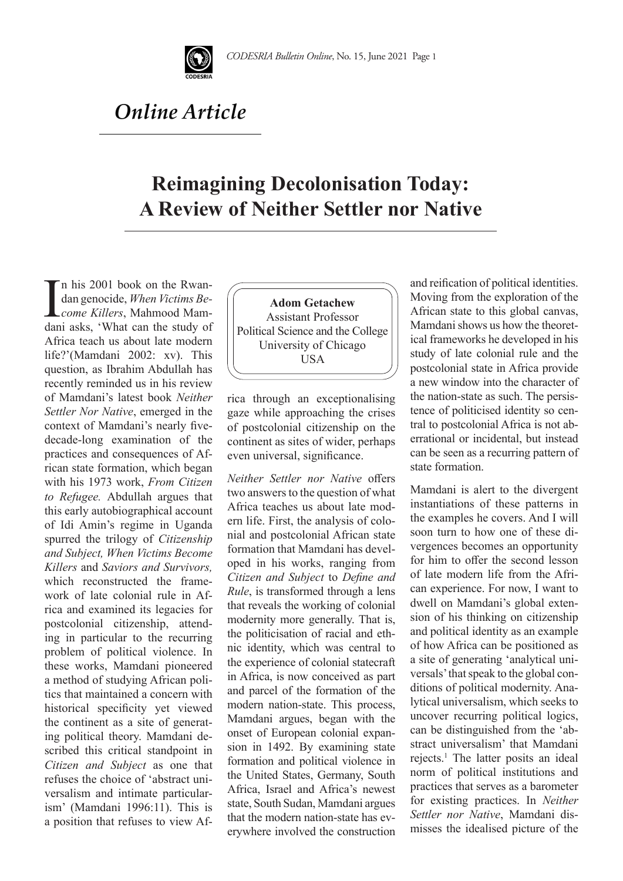

## *Online Article*

## **Reimagining Decolonisation Today: A Review of Neither Settler nor Native**

 $\prod_{\text{den}}$ n his 2001 book on the Rwandan genocide, *When Victims Become Killers*, Mahmood Mamdani asks, 'What can the study of Africa teach us about late modern life?'(Mamdani 2002: xv). This question, as Ibrahim Abdullah has recently reminded us in his review of Mamdani's latest book *Neither Settler Nor Native*, emerged in the context of Mamdani's nearly fivedecade-long examination of the practices and consequences of African state formation, which began with his 1973 work, *From Citizen to Refugee.* Abdullah argues that this early autobiographical account of Idi Amin's regime in Uganda spurred the trilogy of *Citizenship and Subject, When Victims Become Killers* and *Saviors and Survivors,*  which reconstructed the framework of late colonial rule in Africa and examined its legacies for postcolonial citizenship, attending in particular to the recurring problem of political violence. In these works, Mamdani pioneered a method of studying African politics that maintained a concern with historical specificity yet viewed the continent as a site of generating political theory. Mamdani described this critical standpoint in *Citizen and Subject* as one that refuses the choice of 'abstract universalism and intimate particularism' (Mamdani 1996:11). This is a position that refuses to view Af-

**Adom Getachew**  Assistant Professor Political Science and the College University of Chicago USA

rica through an exceptionalising gaze while approaching the crises of postcolonial citizenship on the continent as sites of wider, perhaps even universal, significance.

*Neither Settler nor Native* offers two answers to the question of what Africa teaches us about late modern life. First, the analysis of colonial and postcolonial African state formation that Mamdani has developed in his works, ranging from *Citizen and Subject* to *Define and Rule*, is transformed through a lens that reveals the working of colonial modernity more generally. That is, the politicisation of racial and ethnic identity, which was central to the experience of colonial statecraft in Africa, is now conceived as part and parcel of the formation of the modern nation-state. This process, Mamdani argues, began with the onset of European colonial expansion in 1492. By examining state formation and political violence in the United States, Germany, South Africa, Israel and Africa's newest state, South Sudan, Mamdani argues that the modern nation-state has everywhere involved the construction and reification of political identities. Moving from the exploration of the African state to this global canvas, Mamdani shows us how the theoretical frameworks he developed in his study of late colonial rule and the postcolonial state in Africa provide a new window into the character of the nation-state as such. The persistence of politicised identity so central to postcolonial Africa is not aberrational or incidental, but instead can be seen as a recurring pattern of state formation.

Mamdani is alert to the divergent instantiations of these patterns in the examples he covers. And I will soon turn to how one of these divergences becomes an opportunity for him to offer the second lesson of late modern life from the African experience. For now, I want to dwell on Mamdani's global extension of his thinking on citizenship and political identity as an example of how Africa can be positioned as a site of generating 'analytical universals' that speak to the global conditions of political modernity. Analytical universalism, which seeks to uncover recurring political logics, can be distinguished from the 'abstract universalism' that Mamdani rejects.<sup>1</sup> The latter posits an ideal norm of political institutions and practices that serves as a barometer for existing practices. In *Neither Settler nor Native*, Mamdani dismisses the idealised picture of the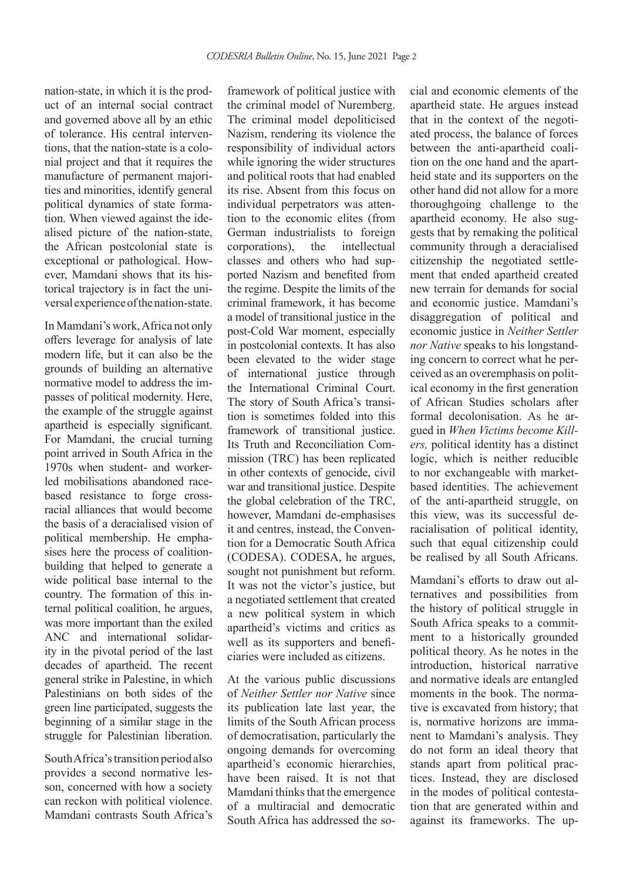nation-state, in which it is the product of an internal social contract and governed above all by an ethic of tolerance. His central interventions, that the nation-state is a colonial project and that it requires the manufacture of permanent majorities and minorities, identify general political dynamics of state formation. When viewed against the idealised picture of the nation-state, the African postcolonial state is exceptional or pathological. However, Mamdani shows that its historical trajectory is in fact the universal experience of the nation-state.

In Mamdani's work, Africa not only offers leverage for analysis of late modern life, but it can also be the grounds of building an alternative normative model to address the impasses of political modernity. Here, the example of the struggle against apartheid is especially significant. For Mamdani, the crucial turning point arrived in South Africa in the 1970s when student- and workerled mobilisations abandoned racebased resistance to forge crossracial alliances that would become the basis of a deracialised vision of political membership. He emphasises here the process of coalitionbuilding that helped to generate a wide political base internal to the country. The formation of this internal political coalition, he argues, was more important than the exiled ANC and international solidarity in the pivotal period of the last decades of apartheid. The recent general strike in Palestine, in which Palestinians on both sides of the green line participated, suggests the beginning of a similar stage in the struggle for Palestinian liberation.

South Africa's transition period also provides a second normative lesson, concerned with how a society can reckon with political violence. Mamdani contrasts South Africa's

framework of political justice with the criminal model of Nuremberg. The criminal model depoliticised Nazism, rendering its violence the responsibility of individual actors while ignoring the wider structures and political roots that had enabled its rise. Absent from this focus on individual perpetrators was attention to the economic elites (from German industrialists to foreign corporations), the intellectual classes and others who had supported Nazism and benefited from the regime. Despite the limits of the criminal framework, it has become a model of transitional justice in the post-Cold War moment, especially in postcolonial contexts. It has also been elevated to the wider stage of international justice through the International Criminal Court. The story of South Africa's transition is sometimes folded into this framework of transitional justice. Its Truth and Reconciliation Commission (TRC) has been replicated in other contexts of genocide, civil war and transitional justice. Despite the global celebration of the TRC, however, Mamdani de-emphasises it and centres, instead, the Convention for a Democratic South Africa (CODESA). CODESA, he argues, sought not punishment but reform. It was not the victor's justice, but a negotiated settlement that created a new political system in which apartheid's victims and critics as well as its supporters and beneficiaries were included as citizens.

At the various public discussions of *Neither Settler nor Native* since its publication late last year, the limits of the South African process of democratisation, particularly the ongoing demands for overcoming apartheid's economic hierarchies, have been raised. It is not that Mamdani thinks that the emergence of a multiracial and democratic South Africa has addressed the social and economic elements of the apartheid state. He argues instead that in the context of the negotiated process, the balance of forces between the anti-apartheid coalition on the one hand and the apartheid state and its supporters on the other hand did not allow for a more thoroughgoing challenge to the apartheid economy. He also suggests that by remaking the political community through a deracialised citizenship the negotiated settlement that ended apartheid created new terrain for demands for social and economic justice. Mamdani's disaggregation of political and economic justice in *Neither Settler nor Native* speaks to his longstanding concern to correct what he perceived as an overemphasis on political economy in the first generation of African Studies scholars after formal decolonisation. As he argued in *When Victims become Killers,* political identity has a distinct logic, which is neither reducible to nor exchangeable with marketbased identities. The achievement of the anti-apartheid struggle, on this view, was its successful deracialisation of political identity, such that equal citizenship could be realised by all South Africans.

Mamdani's efforts to draw out alternatives and possibilities from the history of political struggle in South Africa speaks to a commitment to a historically grounded political theory. As he notes in the introduction, historical narrative and normative ideals are entangled moments in the book. The normative is excavated from history; that is, normative horizons are immanent to Mamdani's analysis. They do not form an ideal theory that stands apart from political practices. Instead, they are disclosed in the modes of political contestation that are generated within and against its frameworks. The up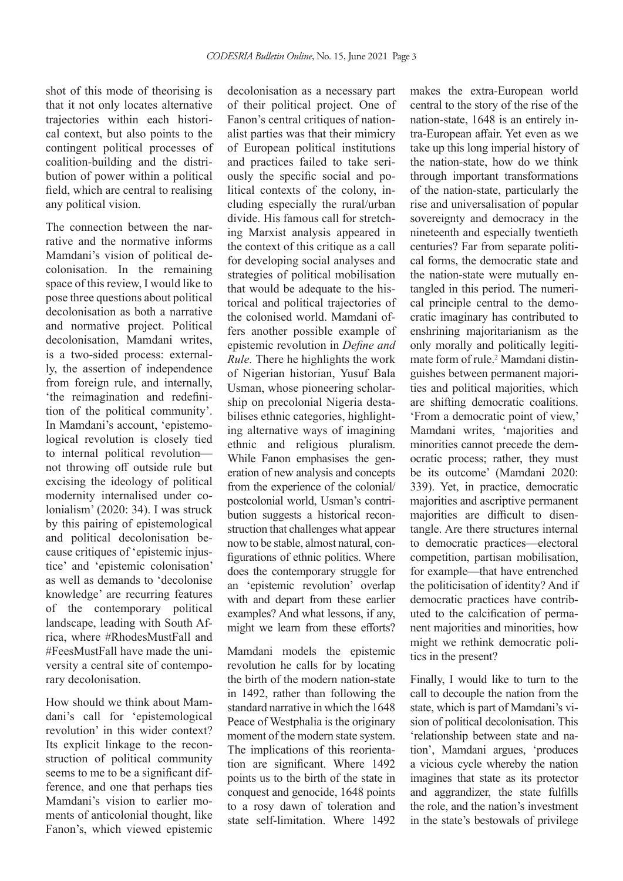shot of this mode of theorising is that it not only locates alternative trajectories within each historical context, but also points to the contingent political processes of coalition-building and the distribution of power within a political field, which are central to realising any political vision.

The connection between the narrative and the normative informs Mamdani's vision of political decolonisation. In the remaining space of this review, I would like to pose three questions about political decolonisation as both a narrative and normative project. Political decolonisation, Mamdani writes, is a two-sided process: externally, the assertion of independence from foreign rule, and internally, 'the reimagination and redefinition of the political community'. In Mamdani's account, 'epistemological revolution is closely tied to internal political revolution not throwing off outside rule but excising the ideology of political modernity internalised under colonialism' (2020: 34). I was struck by this pairing of epistemological and political decolonisation because critiques of 'epistemic injustice' and 'epistemic colonisation' as well as demands to 'decolonise knowledge' are recurring features of the contemporary political landscape, leading with South Africa, where #RhodesMustFall and #FeesMustFall have made the university a central site of contemporary decolonisation.

How should we think about Mamdani's call for 'epistemological revolution' in this wider context? Its explicit linkage to the reconstruction of political community seems to me to be a significant difference, and one that perhaps ties Mamdani's vision to earlier moments of anticolonial thought, like Fanon's, which viewed epistemic

decolonisation as a necessary part of their political project. One of Fanon's central critiques of nationalist parties was that their mimicry of European political institutions and practices failed to take seriously the specific social and political contexts of the colony, including especially the rural/urban divide. His famous call for stretching Marxist analysis appeared in the context of this critique as a call for developing social analyses and strategies of political mobilisation that would be adequate to the historical and political trajectories of the colonised world. Mamdani offers another possible example of epistemic revolution in *Define and Rule.* There he highlights the work of Nigerian historian, Yusuf Bala Usman, whose pioneering scholarship on precolonial Nigeria destabilises ethnic categories, highlighting alternative ways of imagining ethnic and religious pluralism. While Fanon emphasises the generation of new analysis and concepts from the experience of the colonial/ postcolonial world, Usman's contribution suggests a historical reconstruction that challenges what appear now to be stable, almost natural, configurations of ethnic politics. Where does the contemporary struggle for an 'epistemic revolution' overlap with and depart from these earlier examples? And what lessons, if any, might we learn from these efforts?

Mamdani models the epistemic revolution he calls for by locating the birth of the modern nation-state in 1492, rather than following the standard narrative in which the 1648 Peace of Westphalia is the originary moment of the modern state system. The implications of this reorientation are significant. Where 1492 points us to the birth of the state in conquest and genocide, 1648 points to a rosy dawn of toleration and state self-limitation. Where 1492 makes the extra-European world central to the story of the rise of the nation-state, 1648 is an entirely intra-European affair. Yet even as we take up this long imperial history of the nation-state, how do we think through important transformations of the nation-state, particularly the rise and universalisation of popular sovereignty and democracy in the nineteenth and especially twentieth centuries? Far from separate political forms, the democratic state and the nation-state were mutually entangled in this period. The numerical principle central to the democratic imaginary has contributed to enshrining majoritarianism as the only morally and politically legitimate form of rule.<sup>2</sup> Mamdani distinguishes between permanent majorities and political majorities, which are shifting democratic coalitions. 'From a democratic point of view,' Mamdani writes, 'majorities and minorities cannot precede the democratic process; rather, they must be its outcome' (Mamdani 2020: 339). Yet, in practice, democratic majorities and ascriptive permanent majorities are difficult to disentangle. Are there structures internal to democratic practices—electoral competition, partisan mobilisation, for example—that have entrenched the politicisation of identity? And if democratic practices have contributed to the calcification of permanent majorities and minorities, how might we rethink democratic politics in the present?

Finally, I would like to turn to the call to decouple the nation from the state, which is part of Mamdani's vision of political decolonisation. This 'relationship between state and nation', Mamdani argues, 'produces a vicious cycle whereby the nation imagines that state as its protector and aggrandizer, the state fulfills the role, and the nation's investment in the state's bestowals of privilege